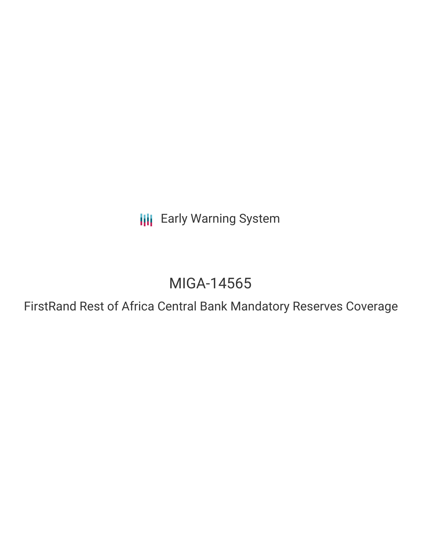**III** Early Warning System

# MIGA-14565

FirstRand Rest of Africa Central Bank Mandatory Reserves Coverage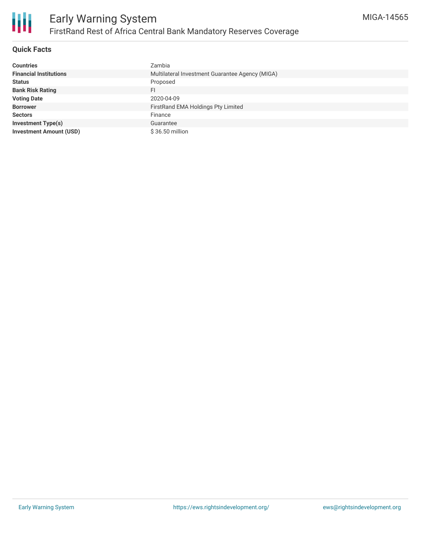

## **Quick Facts**

| <b>Countries</b>               | Zambia                                          |
|--------------------------------|-------------------------------------------------|
| <b>Financial Institutions</b>  | Multilateral Investment Guarantee Agency (MIGA) |
| <b>Status</b>                  | Proposed                                        |
| <b>Bank Risk Rating</b>        | FI                                              |
| <b>Voting Date</b>             | 2020-04-09                                      |
| <b>Borrower</b>                | FirstRand EMA Holdings Pty Limited              |
| <b>Sectors</b>                 | Finance                                         |
| <b>Investment Type(s)</b>      | Guarantee                                       |
| <b>Investment Amount (USD)</b> | \$36.50 million                                 |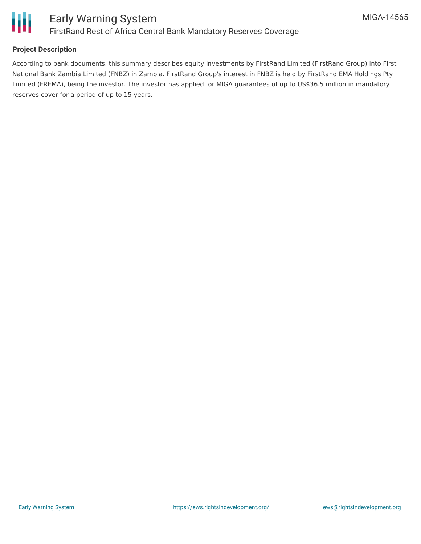

## **Project Description**

According to bank documents, this summary describes equity investments by FirstRand Limited (FirstRand Group) into First National Bank Zambia Limited (FNBZ) in Zambia. FirstRand Group's interest in FNBZ is held by FirstRand EMA Holdings Pty Limited (FREMA), being the investor. The investor has applied for MIGA guarantees of up to US\$36.5 million in mandatory reserves cover for a period of up to 15 years.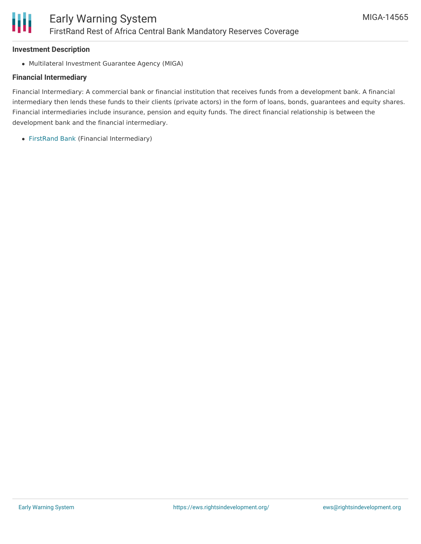#### **Investment Description**

Multilateral Investment Guarantee Agency (MIGA)

## **Financial Intermediary**

Financial Intermediary: A commercial bank or financial institution that receives funds from a development bank. A financial intermediary then lends these funds to their clients (private actors) in the form of loans, bonds, guarantees and equity shares. Financial intermediaries include insurance, pension and equity funds. The direct financial relationship is between the development bank and the financial intermediary.

[FirstRand](file:///actor/1554/) Bank (Financial Intermediary)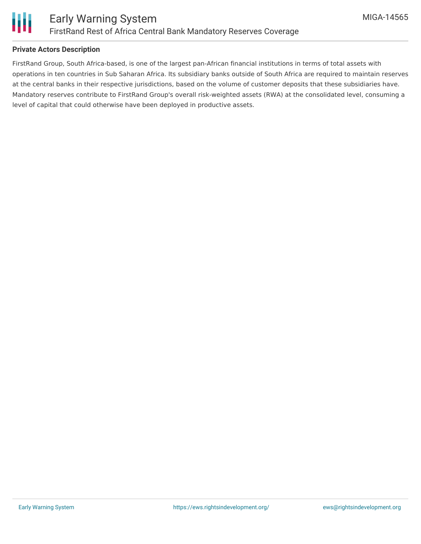

### **Private Actors Description**

FirstRand Group, South Africa-based, is one of the largest pan-African financial institutions in terms of total assets with operations in ten countries in Sub Saharan Africa. Its subsidiary banks outside of South Africa are required to maintain reserves at the central banks in their respective jurisdictions, based on the volume of customer deposits that these subsidiaries have. Mandatory reserves contribute to FirstRand Group's overall risk-weighted assets (RWA) at the consolidated level, consuming a level of capital that could otherwise have been deployed in productive assets.